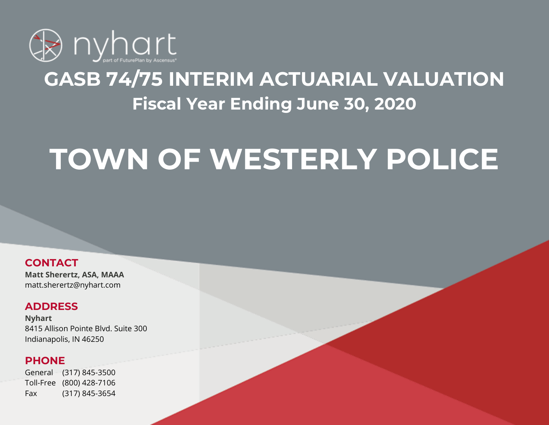

## **GASB 74/75 INTERIM ACTUARIAL VALUATION Fiscal Year Ending June 30, 2020**

# **TOWN OF WESTERLY POLICE**

**CONTACT**

**Matt Sherertz, ASA, MAAA** matt.sherertz@nyhart.com

## **ADDRESS**

**Nyhart** 8415 Allison Pointe Blvd. Suite 300 Indianapolis, IN 46250

## **PHONE**

General (317) 845-3500 Toll-Free (800) 428-7106 Fax (317) 845-3654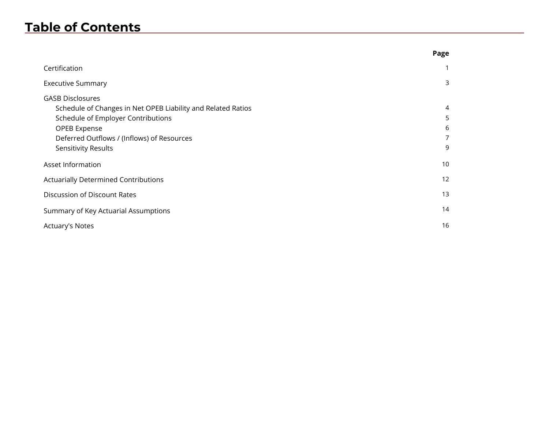## **Table of Contents**

|                                                                                                                                                                                                                    | Page                  |
|--------------------------------------------------------------------------------------------------------------------------------------------------------------------------------------------------------------------|-----------------------|
| Certification                                                                                                                                                                                                      |                       |
| <b>Executive Summary</b>                                                                                                                                                                                           | 3                     |
| <b>GASB Disclosures</b><br>Schedule of Changes in Net OPEB Liability and Related Ratios<br>Schedule of Employer Contributions<br>OPEB Expense<br>Deferred Outflows / (Inflows) of Resources<br>Sensitivity Results | 4<br>5<br>6<br>7<br>9 |
| Asset Information                                                                                                                                                                                                  | 10                    |
| <b>Actuarially Determined Contributions</b>                                                                                                                                                                        | 12                    |
| Discussion of Discount Rates                                                                                                                                                                                       | 13                    |
| Summary of Key Actuarial Assumptions                                                                                                                                                                               | 14                    |
| <b>Actuary's Notes</b>                                                                                                                                                                                             | 16                    |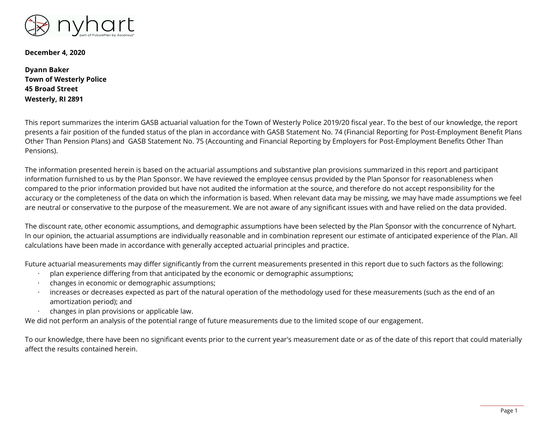

**December 4, 2020**

**Dyann Baker Town of Westerly Police 45 Broad Street Westerly, RI 2891**

This report summarizes the interim GASB actuarial valuation for the Town of Westerly Police 2019/20 fiscal year. To the best of our knowledge, the report presents a fair position of the funded status of the plan in accordance with GASB Statement No. 74 (Financial Reporting for Post-Employment Benefit Plans Other Than Pension Plans) and GASB Statement No. 75 (Accounting and Financial Reporting by Employers for Post-Employment Benefits Other Than Pensions).

The information presented herein is based on the actuarial assumptions and substantive plan provisions summarized in this report and participant information furnished to us by the Plan Sponsor. We have reviewed the employee census provided by the Plan Sponsor for reasonableness when compared to the prior information provided but have not audited the information at the source, and therefore do not accept responsibility for the accuracy or the completeness of the data on which the information is based. When relevant data may be missing, we may have made assumptions we feel are neutral or conservative to the purpose of the measurement. We are not aware of any significant issues with and have relied on the data provided.

The discount rate, other economic assumptions, and demographic assumptions have been selected by the Plan Sponsor with the concurrence of Nyhart. In our opinion, the actuarial assumptions are individually reasonable and in combination represent our estimate of anticipated experience of the Plan. All calculations have been made in accordance with generally accepted actuarial principles and practice.

Future actuarial measurements may differ significantly from the current measurements presented in this report due to such factors as the following:

- · plan experience differing from that anticipated by the economic or demographic assumptions;
- · changes in economic or demographic assumptions;
- increases or decreases expected as part of the natural operation of the methodology used for these measurements (such as the end of an amortization period); and
- · changes in plan provisions or applicable law.

We did not perform an analysis of the potential range of future measurements due to the limited scope of our engagement.

To our knowledge, there have been no significant events prior to the current year's measurement date or as of the date of this report that could materially affect the results contained herein.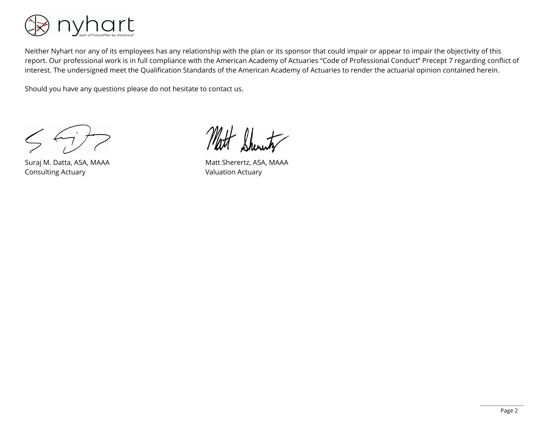

Neither Nyhart nor any of its employees has any relationship with the plan or its sponsor that could impair or appear to impair the objectivity of this report. Our professional work is in full compliance with the American Academy of Actuaries "Code of Professional Conduct" Precept 7 regarding conflict of interest. The undersigned meet the Qualification Standards of the American Academy of Actuaries to render the actuarial opinion contained herein.

Should you have any questions please do not hesitate to contact us.

Suraj M. Datta, ASA, MAAA Consulting Actuary

Matt Sherertz, ASA, MAAA Valuation Actuary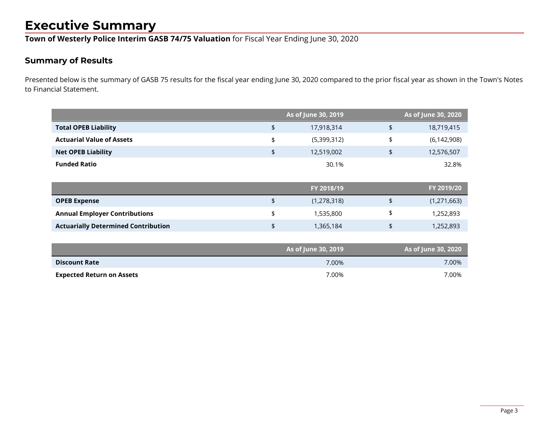## **Executive Summary**

**Town of Westerly Police Interim GASB 74/75 Valuation** for Fiscal Year Ending June 30, 2020

### **Summary of Results**

Presented below is the summary of GASB 75 results for the fiscal year ending June 30, 2020 compared to the prior fiscal year as shown in the Town's Notes to Financial Statement.

|                                            | As of June 30, 2019 | As of June 30, 2020 |
|--------------------------------------------|---------------------|---------------------|
| <b>Total OPEB Liability</b>                | \$<br>17,918,314    | \$<br>18,719,415    |
| <b>Actuarial Value of Assets</b>           | \$<br>(5,399,312)   | \$<br>(6, 142, 908) |
| <b>Net OPEB Liability</b>                  | \$<br>12,519,002    | \$<br>12,576,507    |
| <b>Funded Ratio</b>                        | 30.1%               | 32.8%               |
|                                            |                     |                     |
|                                            | FY 2018/19          | FY 2019/20          |
| <b>OPEB Expense</b>                        | \$<br>(1, 278, 318) | \$<br>(1, 271, 663) |
| <b>Annual Employer Contributions</b>       | \$<br>1,535,800     | \$<br>1,252,893     |
| <b>Actuarially Determined Contribution</b> | \$<br>1,365,184     | \$<br>1,252,893     |
|                                            |                     |                     |
|                                            | As of June 30, 2019 | As of June 30, 2020 |

|                                  | $\frac{1}{2}$ is the state of $\frac{1}{2}$ | $100$ cm juine both $-$ 0 metric $-$ |
|----------------------------------|---------------------------------------------|--------------------------------------|
| <b>Discount Rate</b>             | 7.00%                                       | $7.00\%$                             |
| <b>Expected Return on Assets</b> | 7.00%                                       | 7.00%                                |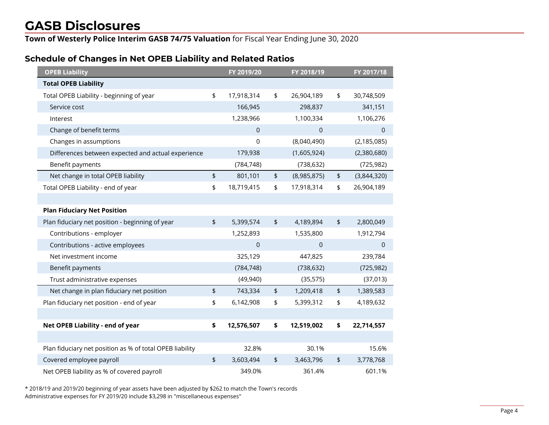**Town of Westerly Police Interim GASB 74/75 Valuation** for Fiscal Year Ending June 30, 2020

#### **Schedule of Changes in Net OPEB Liability and Related Ratios**

| <b>OPEB Liability</b>                                    | FY 2019/20       |                          | FY 2018/19   |               | FY 2017/18    |
|----------------------------------------------------------|------------------|--------------------------|--------------|---------------|---------------|
| <b>Total OPEB Liability</b>                              |                  |                          |              |               |               |
| Total OPEB Liability - beginning of year                 | \$<br>17,918,314 | \$                       | 26,904,189   | \$            | 30,748,509    |
| Service cost                                             | 166,945          |                          | 298,837      |               | 341,151       |
| Interest                                                 | 1,238,966        |                          | 1,100,334    |               | 1,106,276     |
| Change of benefit terms                                  | $\overline{0}$   |                          | $\Omega$     |               | $\Omega$      |
| Changes in assumptions                                   | 0                |                          | (8,040,490)  |               | (2, 185, 085) |
| Differences between expected and actual experience       | 179,938          |                          | (1,605,924)  |               | (2,380,680)   |
| Benefit payments                                         | (784, 748)       |                          | (738, 632)   |               | (725, 982)    |
| Net change in total OPEB liability                       | \$<br>801,101    | \$                       | (8,985,875)  | \$            | (3,844,320)   |
| Total OPEB Liability - end of year                       | \$<br>18,719,415 | \$                       | 17,918,314   | \$            | 26,904,189    |
|                                                          |                  |                          |              |               |               |
| <b>Plan Fiduciary Net Position</b>                       |                  |                          |              |               |               |
| Plan fiduciary net position - beginning of year          | \$<br>5,399,574  | \$                       | 4,189,894    | $\frac{1}{2}$ | 2,800,049     |
| Contributions - employer                                 | 1,252,893        |                          | 1,535,800    |               | 1,912,794     |
| Contributions - active employees                         | $\overline{0}$   |                          | $\mathbf{0}$ |               | $\mathbf 0$   |
| Net investment income                                    | 325,129          |                          | 447,825      |               | 239,784       |
| Benefit payments                                         | (784, 748)       |                          | (738, 632)   |               | (725, 982)    |
| Trust administrative expenses                            | (49, 940)        |                          | (35, 575)    |               | (37, 013)     |
| Net change in plan fiduciary net position                | \$<br>743,334    | $\pmb{\mathfrak{\zeta}}$ | 1,209,418    | \$            | 1,389,583     |
| Plan fiduciary net position - end of year                | \$<br>6,142,908  | \$                       | 5,399,312    | \$            | 4,189,632     |
|                                                          |                  |                          |              |               |               |
| Net OPEB Liability - end of year                         | \$<br>12,576,507 | \$                       | 12,519,002   | \$            | 22,714,557    |
|                                                          |                  |                          |              |               |               |
| Plan fiduciary net position as % of total OPEB liability | 32.8%            |                          | 30.1%        |               | 15.6%         |
| Covered employee payroll                                 | \$<br>3,603,494  | \$                       | 3,463,796    | \$            | 3,778,768     |
| Net OPEB liability as % of covered payroll               | 349.0%           |                          | 361.4%       |               | 601.1%        |

\* 2018/19 and 2019/20 beginning of year assets have been adjusted by \$262 to match the Town's records Administrative expenses for FY 2019/20 include \$3,298 in "miscellaneous expenses"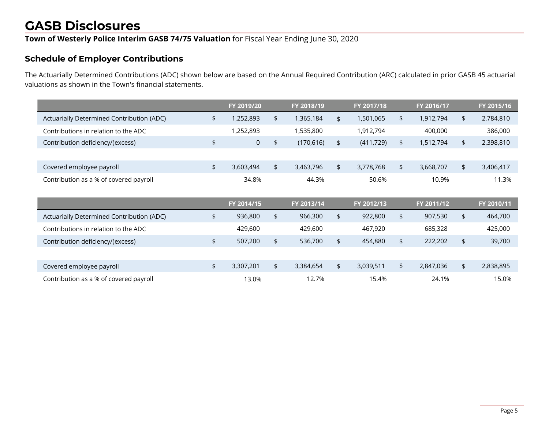## **Town of Westerly Police Interim GASB 74/75 Valuation** for Fiscal Year Ending June 30, 2020

#### **Schedule of Employer Contributions**

The Actuarially Determined Contributions (ADC) shown below are based on the Annual Required Contribution (ARC) calculated in prior GASB 45 actuarial valuations as shown in the Town's financial statements.

|                                           | FY 2019/20        | FY 2018/19       |               | FY 2017/18 | FY 2016/17      | FY 2015/16      |
|-------------------------------------------|-------------------|------------------|---------------|------------|-----------------|-----------------|
| Actuarially Determined Contribution (ADC) | \$<br>1,252,893   | \$<br>1,365,184  | \$            | 1,501,065  | \$<br>1,912,794 | \$<br>2,784,810 |
| Contributions in relation to the ADC      | 1,252,893         | 1,535,800        |               | 1,912,794  | 400,000         | 386,000         |
| Contribution deficiency/(excess)          | \$<br>$\mathbf 0$ | \$<br>(170, 616) | \$            | (411, 729) | \$<br>1,512,794 | \$<br>2,398,810 |
|                                           |                   |                  |               |            |                 |                 |
| Covered employee payroll                  | \$<br>3,603,494   | \$<br>3,463,796  | \$            | 3,778,768  | \$<br>3,668,707 | \$<br>3,406,417 |
| Contribution as a % of covered payroll    | 34.8%             | 44.3%            |               | 50.6%      | 10.9%           | 11.3%           |
|                                           |                   |                  |               |            |                 |                 |
|                                           |                   |                  |               |            |                 |                 |
|                                           | FY 2014/15        | FY 2013/14       |               | FY 2012/13 | FY 2011/12      | FY 2010/11      |
| Actuarially Determined Contribution (ADC) | \$<br>936,800     | \$<br>966,300    | $\frac{1}{2}$ | 922,800    | \$<br>907,530   | \$<br>464,700   |
| Contributions in relation to the ADC      | 429,600           | 429,600          |               | 467,920    | 685,328         | 425,000         |
| Contribution deficiency/(excess)          | \$<br>507,200     | \$<br>536,700    | \$            | 454,880    | \$<br>222,202   | \$<br>39,700    |
|                                           |                   |                  |               |            |                 |                 |
| Covered employee payroll                  | \$<br>3,307,201   | \$<br>3,384,654  | \$            | 3,039,511  | \$<br>2,847,036 | \$<br>2,838,895 |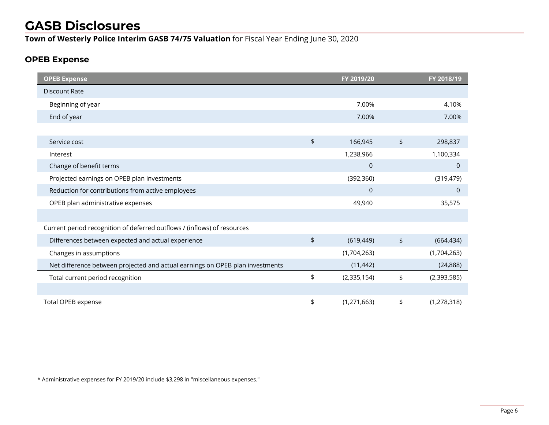**Town of Westerly Police Interim GASB 74/75 Valuation** for Fiscal Year Ending June 30, 2020

#### **OPEB Expense**

| <b>OPEB Expense</b>                                                           |               | FY 2019/20   |                          | FY 2018/19    |
|-------------------------------------------------------------------------------|---------------|--------------|--------------------------|---------------|
| Discount Rate                                                                 |               |              |                          |               |
| Beginning of year                                                             |               | 7.00%        |                          | 4.10%         |
| End of year                                                                   |               | 7.00%        |                          | 7.00%         |
|                                                                               |               |              |                          |               |
| Service cost                                                                  | $\frac{1}{2}$ | 166,945      | $\pmb{\mathfrak{\zeta}}$ | 298,837       |
| Interest                                                                      |               | 1,238,966    |                          | 1,100,334     |
| Change of benefit terms                                                       |               | $\mathbf 0$  |                          | $\mathbf 0$   |
| Projected earnings on OPEB plan investments                                   |               | (392, 360)   |                          | (319, 479)    |
| Reduction for contributions from active employees                             |               | $\mathbf{0}$ |                          | $\mathbf 0$   |
| OPEB plan administrative expenses                                             |               | 49,940       |                          | 35,575        |
|                                                                               |               |              |                          |               |
| Current period recognition of deferred outflows / (inflows) of resources      |               |              |                          |               |
| Differences between expected and actual experience                            | \$            | (619, 449)   | $\frac{1}{2}$            | (664, 434)    |
| Changes in assumptions                                                        |               | (1,704,263)  |                          | (1,704,263)   |
| Net difference between projected and actual earnings on OPEB plan investments |               | (11, 442)    |                          | (24, 888)     |
| Total current period recognition                                              | \$            | (2,335,154)  | \$                       | (2,393,585)   |
|                                                                               |               |              |                          |               |
| Total OPEB expense                                                            | \$            | (1,271,663)  | \$                       | (1, 278, 318) |

\* Administrative expenses for FY 2019/20 include \$3,298 in "miscellaneous expenses."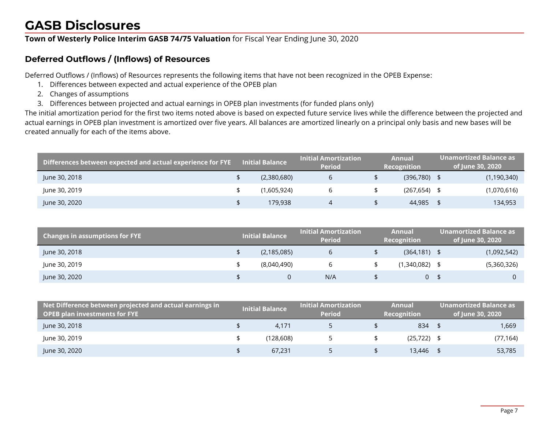#### **Town of Westerly Police Interim GASB 74/75 Valuation** for Fiscal Year Ending June 30, 2020

### **Deferred Outflows / (Inflows) of Resources**

Deferred Outflows / (Inflows) of Resources represents the following items that have not been recognized in the OPEB Expense:

- 1. Differences between expected and actual experience of the OPEB plan
- 2. Changes of assumptions
- 3. Differences between projected and actual earnings in OPEB plan investments (for funded plans only)

The initial amortization period for the first two items noted above is based on expected future service lives while the difference between the projected and actual earnings in OPEB plan investment is amortized over five years. All balances are amortized linearly on a principal only basis and new bases will be created annually for each of the items above.

| Differences between expected and actual experience for FYE | <b>Initial Balance</b> | Initial Amortization .<br><b>Period</b> | Annual<br>Recognition | Unamortized Balance as<br>of June 30, 2020 |
|------------------------------------------------------------|------------------------|-----------------------------------------|-----------------------|--------------------------------------------|
| June 30, 2018                                              | (2,380,680)            |                                         | $(396,780)$ \$        | (1, 190, 340)                              |
| June 30, 2019                                              | (1,605,924)            |                                         | $(267, 654)$ \$       | (1,070,616)                                |
| June 30, 2020                                              | 179,938                |                                         | 44,985                | 134,953                                    |

| <b>Changes in assumptions for FYE</b> | <b>Initial Balance</b> | <b>Initial Amortization</b><br><b>Period</b> | <b>Annual</b><br><b>Recognition</b> | Unamortized Balance as<br>of June 30, 2020 |
|---------------------------------------|------------------------|----------------------------------------------|-------------------------------------|--------------------------------------------|
| June 30, 2018                         | (2, 185, 085)          |                                              | $(364, 181)$ \$                     | (1,092,542)                                |
| June 30, 2019                         | (8,040,490)            |                                              | (1,340,082) \$                      | (5,360,326)                                |
| June 30, 2020                         |                        | N/A                                          | ი \$                                |                                            |

| $\,$ Net Difference between projected and actual earnings in $^{\dagger}$<br><b>OPEB plan investments for FYE</b> | <b>Initial Balance</b> | Initial Amortization i<br><b>Period</b> | Annual<br>Recognition | Unamortized Balance as <b>'</b><br>of June 30, 2020 |
|-------------------------------------------------------------------------------------------------------------------|------------------------|-----------------------------------------|-----------------------|-----------------------------------------------------|
| June 30, 2018                                                                                                     | 4.171                  |                                         | $834$ \$              | 1,669                                               |
| June 30, 2019                                                                                                     | (128.608)              |                                         | $(25, 722)$ \$        | (77, 164)                                           |
| June 30, 2020                                                                                                     | 67.231                 |                                         | 13,446                | 53,785                                              |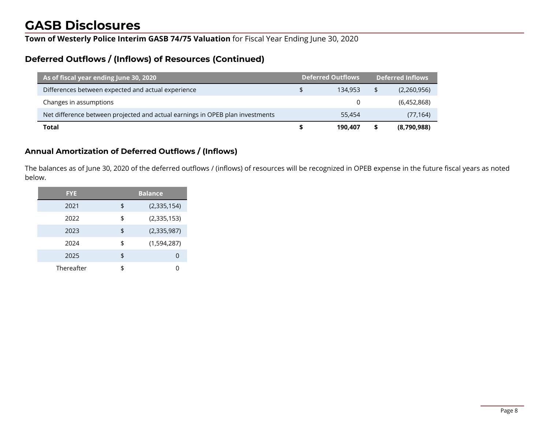**Town of Westerly Police Interim GASB 74/75 Valuation** for Fiscal Year Ending June 30, 2020

### **Deferred Outflows / (Inflows) of Resources (Continued)**

| As of fiscal year ending June 30, 2020                                        | <b>Deferred Outflows</b> |         | <b>Deferred Inflows</b> |  |
|-------------------------------------------------------------------------------|--------------------------|---------|-------------------------|--|
| Differences between expected and actual experience                            |                          | 134.953 | (2,260,956)             |  |
| Changes in assumptions                                                        |                          | 0       | (6,452,868)             |  |
| Net difference between projected and actual earnings in OPEB plan investments |                          | 55,454  | (77, 164)               |  |
| <b>Total</b>                                                                  |                          | 190.407 | (8,790,988)             |  |

#### **Annual Amortization of Deferred Outflows / (Inflows)**

The balances as of June 30, 2020 of the deferred outflows / (inflows) of resources will be recognized in OPEB expense in the future fiscal years as noted below.

| <b>FYE</b> | <b>Balance</b>    |
|------------|-------------------|
| 2021       | \$<br>(2,335,154) |
| 2022       | \$<br>(2,335,153) |
| 2023       | \$<br>(2,335,987) |
| 2024       | \$<br>(1,594,287) |
| 2025       | \$<br>O           |
| Thereafter | \$                |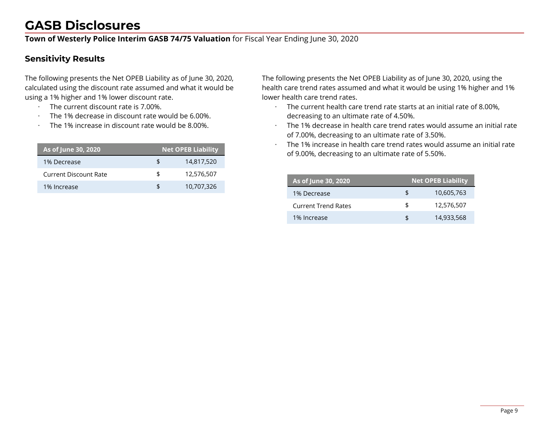**Town of Westerly Police Interim GASB 74/75 Valuation** for Fiscal Year Ending June 30, 2020

### **Sensitivity Results**

The following presents the Net OPEB Liability as of June 30, 2020, calculated using the discount rate assumed and what it would be using a 1% higher and 1% lower discount rate.

- · The current discount rate is 7.00%.
- The 1% decrease in discount rate would be 6.00%.
- The 1% increase in discount rate would be 8,00%.

| As of June 30, 2020   |    | <b>Net OPEB Liability</b> |
|-----------------------|----|---------------------------|
| 1% Decrease           | £. | 14,817,520                |
| Current Discount Rate | \$ | 12,576,507                |
| 1% Increase           | \$ | 10,707,326                |

The following presents the Net OPEB Liability as of June 30, 2020, using the health care trend rates assumed and what it would be using 1% higher and 1% lower health care trend rates.

- · The current health care trend rate starts at an initial rate of 8.00%, decreasing to an ultimate rate of 4.50%.
- · The 1% decrease in health care trend rates would assume an initial rate of 7.00%, decreasing to an ultimate rate of 3.50%.
- · The 1% increase in health care trend rates would assume an initial rate of 9.00%, decreasing to an ultimate rate of 5.50%.

| As of June 30, 2020        |     | <b>Net OPEB Liability</b> |
|----------------------------|-----|---------------------------|
| 1% Decrease                | £   | 10,605,763                |
| <b>Current Trend Rates</b> | \$  | 12,576,507                |
| 1% Increase                | \$. | 14,933,568                |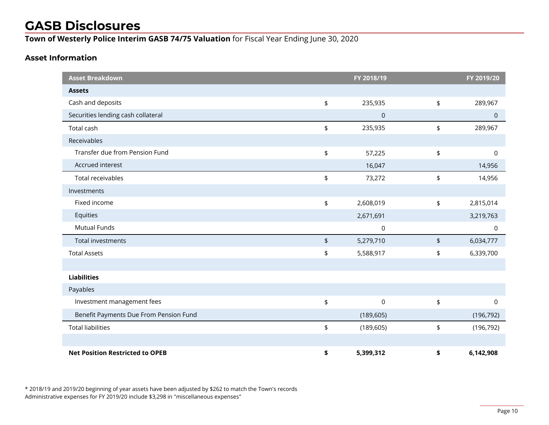**Town of Westerly Police Interim GASB 74/75 Valuation** for Fiscal Year Ending June 30, 2020

#### **Asset Information**

| <b>Asset Breakdown</b>                 |                                 | FY 2018/19 |                          | FY 2019/20     |
|----------------------------------------|---------------------------------|------------|--------------------------|----------------|
| <b>Assets</b>                          |                                 |            |                          |                |
| Cash and deposits                      | \$                              | 235,935    | \$                       | 289,967        |
| Securities lending cash collateral     |                                 | $\pmb{0}$  |                          | $\overline{0}$ |
| Total cash                             | $\pmb{\mathfrak{\mathfrak{p}}}$ | 235,935    | \$                       | 289,967        |
| Receivables                            |                                 |            |                          |                |
| Transfer due from Pension Fund         | \$                              | 57,225     | \$                       | 0              |
| Accrued interest                       |                                 | 16,047     |                          | 14,956         |
| <b>Total receivables</b>               | $\pmb{\mathfrak{\mathfrak{p}}}$ | 73,272     | \$                       | 14,956         |
| Investments                            |                                 |            |                          |                |
| Fixed income                           | \$                              | 2,608,019  | \$                       | 2,815,014      |
| Equities                               |                                 | 2,671,691  |                          | 3,219,763      |
| <b>Mutual Funds</b>                    |                                 | 0          |                          | 0              |
| Total investments                      | $\pmb{\mathfrak{\mathfrak{p}}}$ | 5,279,710  | $\pmb{\mathfrak{\zeta}}$ | 6,034,777      |
| <b>Total Assets</b>                    | \$                              | 5,588,917  | \$                       | 6,339,700      |
|                                        |                                 |            |                          |                |
| <b>Liabilities</b>                     |                                 |            |                          |                |
| Payables                               |                                 |            |                          |                |
| Investment management fees             | \$                              | 0          | \$                       | 0              |
| Benefit Payments Due From Pension Fund |                                 | (189, 605) |                          | (196, 792)     |
| <b>Total liabilities</b>               | \$                              | (189, 605) | \$                       | (196, 792)     |
|                                        |                                 |            |                          |                |
| <b>Net Position Restricted to OPEB</b> | \$                              | 5,399,312  | \$                       | 6,142,908      |

\* 2018/19 and 2019/20 beginning of year assets have been adjusted by \$262 to match the Town's records Administrative expenses for FY 2019/20 include \$3,298 in "miscellaneous expenses"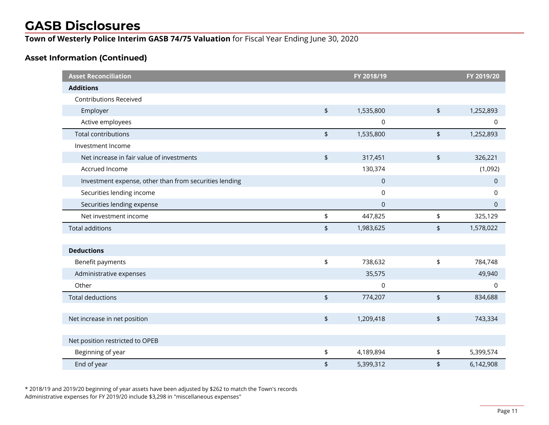**Town of Westerly Police Interim GASB 74/75 Valuation** for Fiscal Year Ending June 30, 2020

#### **Asset Information (Continued)**

| <b>Asset Reconciliation</b>                            |                                 | FY 2018/19          |                          | FY 2019/20  |
|--------------------------------------------------------|---------------------------------|---------------------|--------------------------|-------------|
| <b>Additions</b>                                       |                                 |                     |                          |             |
| <b>Contributions Received</b>                          |                                 |                     |                          |             |
| Employer                                               | $\pmb{\mathfrak{\$}}$           | 1,535,800           | $\updownarrow$           | 1,252,893   |
| Active employees                                       |                                 | 0                   |                          | 0           |
| <b>Total contributions</b>                             | $\pmb{\mathfrak{\$}}$           | 1,535,800           | $\pmb{\mathfrak{\$}}$    | 1,252,893   |
| Investment Income                                      |                                 |                     |                          |             |
| Net increase in fair value of investments              | $\pmb{\mathfrak{\$}}$           | 317,451             | $\pmb{\mathfrak{\zeta}}$ | 326,221     |
| Accrued Income                                         |                                 | 130,374             |                          | (1,092)     |
| Investment expense, other than from securities lending |                                 | $\mathsf{O}\xspace$ |                          | $\mathbf 0$ |
| Securities lending income                              |                                 | 0                   |                          | $\mathbf 0$ |
| Securities lending expense                             |                                 | $\overline{0}$      |                          | $\mathbf 0$ |
| Net investment income                                  | \$                              | 447,825             | \$                       | 325,129     |
| <b>Total additions</b>                                 | $\pmb{\mathfrak{\$}}$           | 1,983,625           | \$                       | 1,578,022   |
|                                                        |                                 |                     |                          |             |
| <b>Deductions</b>                                      |                                 |                     |                          |             |
| Benefit payments                                       | $\pmb{\mathfrak{\mathfrak{p}}}$ | 738,632             | \$                       | 784,748     |
| Administrative expenses                                |                                 | 35,575              |                          | 49,940      |
| Other                                                  |                                 | $\mathbf 0$         |                          | $\mathbf 0$ |
| <b>Total deductions</b>                                | $\updownarrow$                  | 774,207             | $\frac{1}{2}$            | 834,688     |
|                                                        |                                 |                     |                          |             |
| Net increase in net position                           | $\pmb{\mathfrak{\$}}$           | 1,209,418           | $\pmb{\mathfrak{\zeta}}$ | 743,334     |
|                                                        |                                 |                     |                          |             |
| Net position restricted to OPEB                        |                                 |                     |                          |             |
| Beginning of year                                      | \$                              | 4,189,894           | \$                       | 5,399,574   |
| End of year                                            | $\pmb{\mathfrak{\$}}$           | 5,399,312           | \$                       | 6,142,908   |

\* 2018/19 and 2019/20 beginning of year assets have been adjusted by \$262 to match the Town's records Administrative expenses for FY 2019/20 include \$3,298 in "miscellaneous expenses"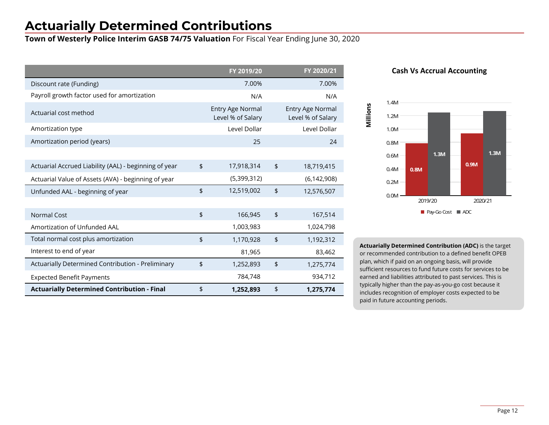## **Actuarially Determined Contributions**

**Town of Westerly Police Interim GASB 74/75 Valuation** For Fiscal Year Ending June 30, 2020

|                                                       | FY 2019/20                            |               | FY 2020/21                            |
|-------------------------------------------------------|---------------------------------------|---------------|---------------------------------------|
| Discount rate (Funding)                               | 7.00%                                 |               | 7.00%                                 |
| Payroll growth factor used for amortization           | N/A                                   |               | N/A                                   |
| Actuarial cost method                                 | Entry Age Normal<br>Level % of Salary |               | Entry Age Normal<br>Level % of Salary |
| Amortization type                                     | Level Dollar                          |               | Level Dollar                          |
| Amortization period (years)                           | 25                                    |               | 24                                    |
|                                                       |                                       |               |                                       |
| Actuarial Accrued Liability (AAL) - beginning of year | \$<br>17,918,314                      | \$            | 18,719,415                            |
| Actuarial Value of Assets (AVA) - beginning of year   | (5,399,312)                           |               | (6, 142, 908)                         |
| Unfunded AAL - beginning of year                      | \$<br>12,519,002                      | $\frac{1}{2}$ | 12,576,507                            |
|                                                       |                                       |               |                                       |
| <b>Normal Cost</b>                                    | \$<br>166,945                         | $\frac{1}{2}$ | 167,514                               |
| Amortization of Unfunded AAL                          | 1,003,983                             |               | 1,024,798                             |
| Total normal cost plus amortization                   | \$<br>1,170,928                       | $\frac{1}{2}$ | 1,192,312                             |
| Interest to end of year                               | 81,965                                |               | 83,462                                |
| Actuarially Determined Contribution - Preliminary     | \$<br>1,252,893                       | \$            | 1,275,774                             |
| <b>Expected Benefit Payments</b>                      | 784,748                               |               | 934,712                               |
| <b>Actuarially Determined Contribution - Final</b>    | \$<br>1,252,893                       | \$            | 1,275,774                             |





**Actuarially Determined Contribution (ADC)** is the target or recommended contribution to a defined benefit OPEB plan, which if paid on an ongoing basis, will provide sufficient resources to fund future costs for services to be earned and liabilities attributed to past services. This is typically higher than the pay-as-you-go cost because it includes recognition of employer costs expected to be paid in future accounting periods.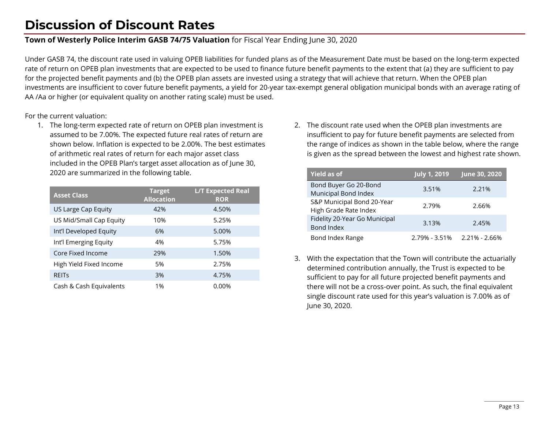## **Discussion of Discount Rates**

#### **Town of Westerly Police Interim GASB 74/75 Valuation** for Fiscal Year Ending June 30, 2020

Under GASB 74, the discount rate used in valuing OPEB liabilities for funded plans as of the Measurement Date must be based on the long-term expected rate of return on OPEB plan investments that are expected to be used to finance future benefit payments to the extent that (a) they are sufficient to pay for the projected benefit payments and (b) the OPEB plan assets are invested using a strategy that will achieve that return. When the OPEB plan investments are insufficient to cover future benefit payments, a yield for 20-year tax-exempt general obligation municipal bonds with an average rating of AA /Aa or higher (or equivalent quality on another rating scale) must be used.

For the current valuation:

1. The long-term expected rate of return on OPEB plan investment is assumed to be 7.00%. The expected future real rates of return are shown below. Inflation is expected to be 2.00%. The best estimates of arithmetic real rates of return for each major asset class included in the OPEB Plan's target asset allocation as of June 30, 2020 are summarized in the following table.

| <b>Asset Class</b>      | <b>Target</b><br><b>Allocation</b> | <b>L/T Expected Real</b><br><b>ROR</b> |
|-------------------------|------------------------------------|----------------------------------------|
| US Large Cap Equity     | 42%                                | 4.50%                                  |
| US Mid/Small Cap Equity | 10%                                | 5.25%                                  |
| Int'l Developed Equity  | 6%                                 | 5.00%                                  |
| Int'l Emerging Equity   | 4%                                 | 5.75%                                  |
| Core Fixed Income       | 29%                                | 1.50%                                  |
| High Yield Fixed Income | 5%                                 | 2.75%                                  |
| <b>REITS</b>            | 3%                                 | 4.75%                                  |
| Cash & Cash Equivalents | 1%                                 | 0.00%                                  |

2. The discount rate used when the OPEB plan investments are insufficient to pay for future benefit payments are selected from the range of indices as shown in the table below, where the range is given as the spread between the lowest and highest rate shown.

| <b>Yield as of</b>                                     | <b>July 1, 2019</b> | June 30, 2020     |
|--------------------------------------------------------|---------------------|-------------------|
| Bond Buyer Go 20-Bond<br>Municipal Bond Index          | 3.51%               | 2.21%             |
| S&P Municipal Bond 20-Year                             | 2.79%               | 2.66%             |
| High Grade Rate Index<br>Fidelity 20-Year Go Municipal | 3.13%               | 2.45%             |
| Bond Index                                             |                     |                   |
| Bond Index Range                                       | $2.79\% - 3.51\%$   | $2.21\% - 2.66\%$ |

3. With the expectation that the Town will contribute the actuarially determined contribution annually, the Trust is expected to be sufficient to pay for all future projected benefit payments and there will not be a cross-over point. As such, the final equivalent single discount rate used for this year's valuation is 7.00% as of June 30, 2020.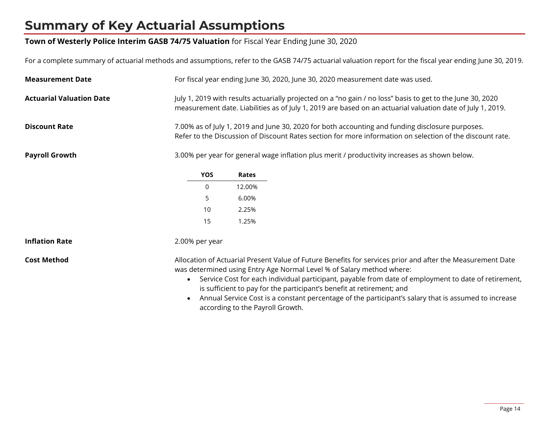## **Summary of Key Actuarial Assumptions**

#### **Town of Westerly Police Interim GASB 74/75 Valuation** for Fiscal Year Ending June 30, 2020

For a complete summary of actuarial methods and assumptions, refer to the GASB 74/75 actuarial valuation report for the fiscal year ending June 30, 2019.

| <b>Measurement Date</b>         | For fiscal year ending June 30, 2020, June 30, 2020 measurement date was used.                                                                                                                                                                                                                                                                                                                                                                                                                                                             |  |  |
|---------------------------------|--------------------------------------------------------------------------------------------------------------------------------------------------------------------------------------------------------------------------------------------------------------------------------------------------------------------------------------------------------------------------------------------------------------------------------------------------------------------------------------------------------------------------------------------|--|--|
| <b>Actuarial Valuation Date</b> | July 1, 2019 with results actuarially projected on a "no gain / no loss" basis to get to the June 30, 2020<br>measurement date. Liabilities as of July 1, 2019 are based on an actuarial valuation date of July 1, 2019.                                                                                                                                                                                                                                                                                                                   |  |  |
| <b>Discount Rate</b>            | 7.00% as of July 1, 2019 and June 30, 2020 for both accounting and funding disclosure purposes.<br>Refer to the Discussion of Discount Rates section for more information on selection of the discount rate.                                                                                                                                                                                                                                                                                                                               |  |  |
| <b>Payroll Growth</b>           | 3.00% per year for general wage inflation plus merit / productivity increases as shown below.                                                                                                                                                                                                                                                                                                                                                                                                                                              |  |  |
|                                 | YOS<br>Rates                                                                                                                                                                                                                                                                                                                                                                                                                                                                                                                               |  |  |
|                                 | 12.00%<br>0                                                                                                                                                                                                                                                                                                                                                                                                                                                                                                                                |  |  |
|                                 | 5<br>6.00%                                                                                                                                                                                                                                                                                                                                                                                                                                                                                                                                 |  |  |
|                                 | 10<br>2.25%                                                                                                                                                                                                                                                                                                                                                                                                                                                                                                                                |  |  |
|                                 | 15<br>1.25%                                                                                                                                                                                                                                                                                                                                                                                                                                                                                                                                |  |  |
| <b>Inflation Rate</b>           | 2.00% per year                                                                                                                                                                                                                                                                                                                                                                                                                                                                                                                             |  |  |
| <b>Cost Method</b>              | Allocation of Actuarial Present Value of Future Benefits for services prior and after the Measurement Date<br>was determined using Entry Age Normal Level % of Salary method where:<br>Service Cost for each individual participant, payable from date of employment to date of retirement,<br>$\bullet$<br>is sufficient to pay for the participant's benefit at retirement; and<br>Annual Service Cost is a constant percentage of the participant's salary that is assumed to increase<br>$\bullet$<br>according to the Payroll Growth. |  |  |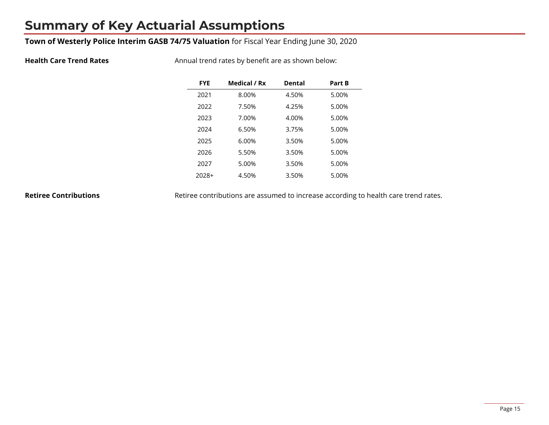## **Summary of Key Actuarial Assumptions**

#### **Town of Westerly Police Interim GASB 74/75 Valuation** for Fiscal Year Ending June 30, 2020

**Health Care Trend Rates** Annual trend rates by benefit are as shown below:

| <b>FYE</b> | Medical / Rx | <b>Dental</b> | Part B |
|------------|--------------|---------------|--------|
| 2021       | 8.00%        | 4.50%         | 5.00%  |
| 2022       | 7.50%        | 4.25%         | 5.00%  |
| 2023       | 7.00%        | 4.00%         | 5.00%  |
| 2024       | 6.50%        | 3.75%         | 5.00%  |
| 2025       | 6.00%        | 3.50%         | 5.00%  |
| 2026       | 5.50%        | 3.50%         | 5.00%  |
| 2027       | 5.00%        | 3.50%         | 5.00%  |
| 2028+      | 4.50%        | 3.50%         | 5.00%  |

**Retiree Contributions** Retiree contributions are assumed to increase according to health care trend rates.